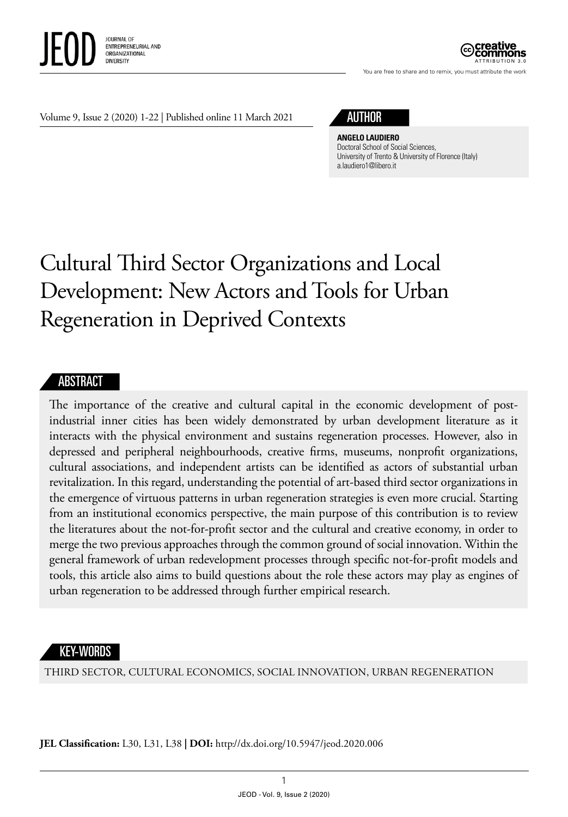

ATTRIBUTION 3.0

You are free to share and to remix, you must attribute the work

Volume 9, Issue 2 (2020) 1-22 | Published online 11 March 2021

## AUTHOR

**ANGELO LAUDIERO** Doctoral School of Social Sciences, University of Trento & University of Florence (Italy) [a.laudiero1@libero.it](mailto:a.laudiero1@libero.it)

# Cultural Third Sector Organizations and Local Development: New Actors and Tools for Urban Regeneration in Deprived Contexts

#### ABSTRACT

The importance of the creative and cultural capital in the economic development of postindustrial inner cities has been widely demonstrated by urban development literature as it interacts with the physical environment and sustains regeneration processes. However, also in depressed and peripheral neighbourhoods, creative firms, museums, nonprofit organizations, cultural associations, and independent artists can be identified as actors of substantial urban revitalization. In this regard, understanding the potential of art-based third sector organizations in the emergence of virtuous patterns in urban regeneration strategies is even more crucial. Starting from an institutional economics perspective, the main purpose of this contribution is to review the literatures about the not-for-profit sector and the cultural and creative economy, in order to merge the two previous approaches through the common ground of social innovation. Within the general framework of urban redevelopment processes through specific not-for-profit models and tools, this article also aims to build questions about the role these actors may play as engines of urban regeneration to be addressed through further empirical research.

#### KEY-WORDS

THIRD SECTOR, CULTURAL ECONOMICS, SOCIAL INNOVATION, URBAN REGENERATION

**JEL Classification:** L30, L31, L38 **| DOI:** http//dx.doi.org/10.5947/jeod.2020.006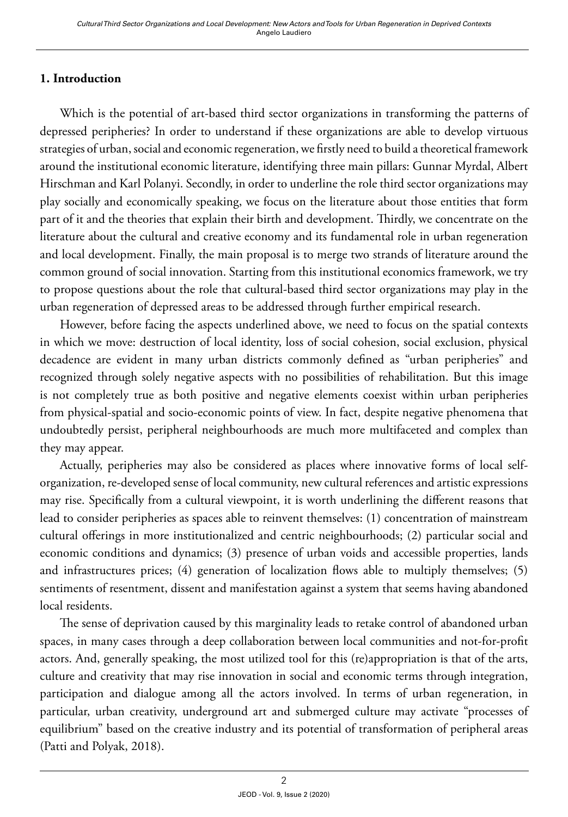### **1. Introduction**

Which is the potential of art-based third sector organizations in transforming the patterns of depressed peripheries? In order to understand if these organizations are able to develop virtuous strategies of urban, social and economic regeneration, we firstly need to build a theoretical framework around the institutional economic literature, identifying three main pillars: Gunnar Myrdal, Albert Hirschman and Karl Polanyi. Secondly, in order to underline the role third sector organizations may play socially and economically speaking, we focus on the literature about those entities that form part of it and the theories that explain their birth and development. Thirdly, we concentrate on the literature about the cultural and creative economy and its fundamental role in urban regeneration and local development. Finally, the main proposal is to merge two strands of literature around the common ground of social innovation. Starting from this institutional economics framework, we try to propose questions about the role that cultural-based third sector organizations may play in the urban regeneration of depressed areas to be addressed through further empirical research.

However, before facing the aspects underlined above, we need to focus on the spatial contexts in which we move: destruction of local identity, loss of social cohesion, social exclusion, physical decadence are evident in many urban districts commonly defined as "urban peripheries" and recognized through solely negative aspects with no possibilities of rehabilitation. But this image is not completely true as both positive and negative elements coexist within urban peripheries from physical-spatial and socio-economic points of view. In fact, despite negative phenomena that undoubtedly persist, peripheral neighbourhoods are much more multifaceted and complex than they may appear.

Actually, peripheries may also be considered as places where innovative forms of local selforganization, re-developed sense of local community, new cultural references and artistic expressions may rise. Specifically from a cultural viewpoint, it is worth underlining the different reasons that lead to consider peripheries as spaces able to reinvent themselves: (1) concentration of mainstream cultural offerings in more institutionalized and centric neighbourhoods; (2) particular social and economic conditions and dynamics; (3) presence of urban voids and accessible properties, lands and infrastructures prices; (4) generation of localization flows able to multiply themselves; (5) sentiments of resentment, dissent and manifestation against a system that seems having abandoned local residents.

The sense of deprivation caused by this marginality leads to retake control of abandoned urban spaces, in many cases through a deep collaboration between local communities and not-for-profit actors. And, generally speaking, the most utilized tool for this (re)appropriation is that of the arts, culture and creativity that may rise innovation in social and economic terms through integration, participation and dialogue among all the actors involved. In terms of urban regeneration, in particular, urban creativity, underground art and submerged culture may activate "processes of equilibrium" based on the creative industry and its potential of transformation of peripheral areas (Patti and Polyak, 2018).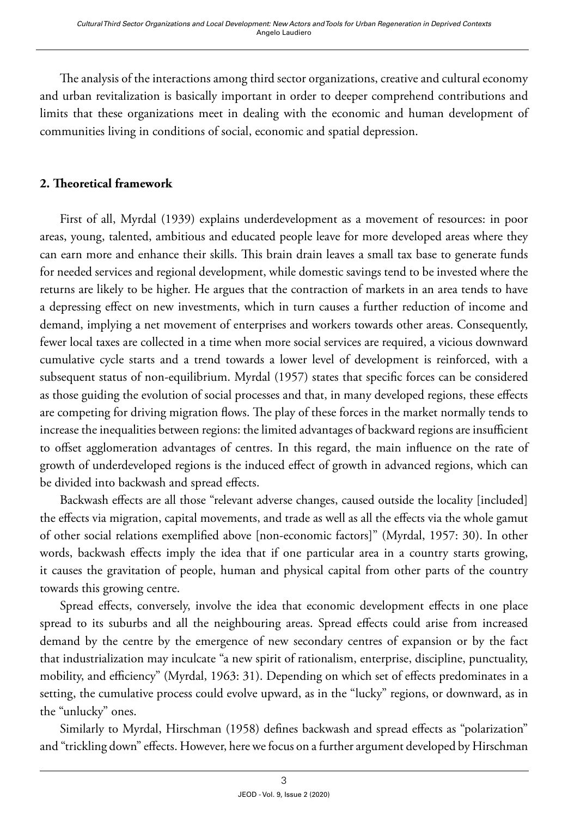The analysis of the interactions among third sector organizations, creative and cultural economy and urban revitalization is basically important in order to deeper comprehend contributions and limits that these organizations meet in dealing with the economic and human development of communities living in conditions of social, economic and spatial depression.

#### **2. Theoretical framework**

First of all, Myrdal (1939) explains underdevelopment as a movement of resources: in poor areas, young, talented, ambitious and educated people leave for more developed areas where they can earn more and enhance their skills. This brain drain leaves a small tax base to generate funds for needed services and regional development, while domestic savings tend to be invested where the returns are likely to be higher. He argues that the contraction of markets in an area tends to have a depressing effect on new investments, which in turn causes a further reduction of income and demand, implying a net movement of enterprises and workers towards other areas. Consequently, fewer local taxes are collected in a time when more social services are required, a vicious downward cumulative cycle starts and a trend towards a lower level of development is reinforced, with a subsequent status of non-equilibrium. Myrdal (1957) states that specific forces can be considered as those guiding the evolution of social processes and that, in many developed regions, these effects are competing for driving migration flows. The play of these forces in the market normally tends to increase the inequalities between regions: the limited advantages of backward regions are insufficient to offset agglomeration advantages of centres. In this regard, the main influence on the rate of growth of underdeveloped regions is the induced effect of growth in advanced regions, which can be divided into backwash and spread effects.

Backwash effects are all those "relevant adverse changes, caused outside the locality [included] the effects via migration, capital movements, and trade as well as all the effects via the whole gamut of other social relations exemplified above [non-economic factors]" (Myrdal, 1957: 30). In other words, backwash effects imply the idea that if one particular area in a country starts growing, it causes the gravitation of people, human and physical capital from other parts of the country towards this growing centre.

Spread effects, conversely, involve the idea that economic development effects in one place spread to its suburbs and all the neighbouring areas. Spread effects could arise from increased demand by the centre by the emergence of new secondary centres of expansion or by the fact that industrialization may inculcate "a new spirit of rationalism, enterprise, discipline, punctuality, mobility, and efficiency" (Myrdal, 1963: 31). Depending on which set of effects predominates in a setting, the cumulative process could evolve upward, as in the "lucky" regions, or downward, as in the "unlucky" ones.

Similarly to Myrdal, Hirschman (1958) defines backwash and spread effects as "polarization" and "trickling down" effects. However, here we focus on a further argument developed by Hirschman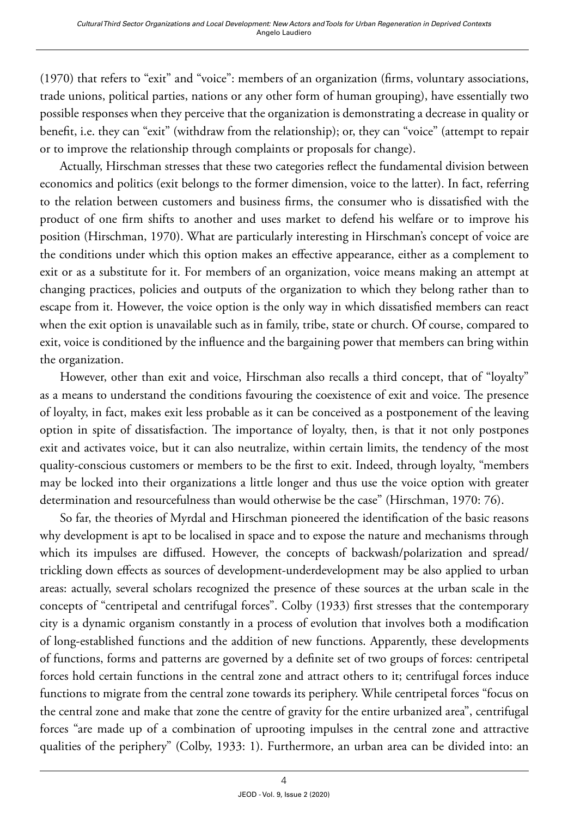(1970) that refers to "exit" and "voice": members of an organization (firms, voluntary associations, trade unions, political parties, nations or any other form of human grouping), have essentially two possible responses when they perceive that the organization is demonstrating a decrease in quality or benefit, i.e. they can "exit" (withdraw from the relationship); or, they can "voice" (attempt to repair or to improve the relationship through complaints or proposals for change).

Actually, Hirschman stresses that these two categories reflect the fundamental division between economics and politics (exit belongs to the former dimension, voice to the latter). In fact, referring to the relation between customers and business firms, the consumer who is dissatisfied with the product of one firm shifts to another and uses market to defend his welfare or to improve his position (Hirschman, 1970). What are particularly interesting in Hirschman's concept of voice are the conditions under which this option makes an effective appearance, either as a complement to exit or as a substitute for it. For members of an organization, voice means making an attempt at changing practices, policies and outputs of the organization to which they belong rather than to escape from it. However, the voice option is the only way in which dissatisfied members can react when the exit option is unavailable such as in family, tribe, state or church. Of course, compared to exit, voice is conditioned by the influence and the bargaining power that members can bring within the organization.

However, other than exit and voice, Hirschman also recalls a third concept, that of "loyalty" as a means to understand the conditions favouring the coexistence of exit and voice. The presence of loyalty, in fact, makes exit less probable as it can be conceived as a postponement of the leaving option in spite of dissatisfaction. The importance of loyalty, then, is that it not only postpones exit and activates voice, but it can also neutralize, within certain limits, the tendency of the most quality-conscious customers or members to be the first to exit. Indeed, through loyalty, "members may be locked into their organizations a little longer and thus use the voice option with greater determination and resourcefulness than would otherwise be the case" (Hirschman, 1970: 76).

So far, the theories of Myrdal and Hirschman pioneered the identification of the basic reasons why development is apt to be localised in space and to expose the nature and mechanisms through which its impulses are diffused. However, the concepts of backwash/polarization and spread/ trickling down effects as sources of development-underdevelopment may be also applied to urban areas: actually, several scholars recognized the presence of these sources at the urban scale in the concepts of "centripetal and centrifugal forces". Colby (1933) first stresses that the contemporary city is a dynamic organism constantly in a process of evolution that involves both a modification of long-established functions and the addition of new functions. Apparently, these developments of functions, forms and patterns are governed by a definite set of two groups of forces: centripetal forces hold certain functions in the central zone and attract others to it; centrifugal forces induce functions to migrate from the central zone towards its periphery. While centripetal forces "focus on the central zone and make that zone the centre of gravity for the entire urbanized area", centrifugal forces "are made up of a combination of uprooting impulses in the central zone and attractive qualities of the periphery" (Colby, 1933: 1). Furthermore, an urban area can be divided into: an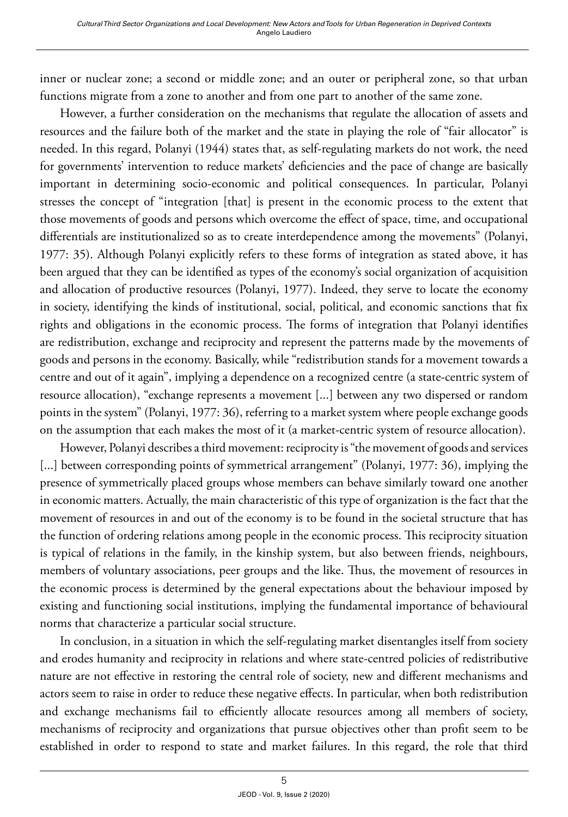inner or nuclear zone; a second or middle zone; and an outer or peripheral zone, so that urban functions migrate from a zone to another and from one part to another of the same zone.

However, a further consideration on the mechanisms that regulate the allocation of assets and resources and the failure both of the market and the state in playing the role of "fair allocator" is needed. In this regard, Polanyi (1944) states that, as self-regulating markets do not work, the need for governments' intervention to reduce markets' deficiencies and the pace of change are basically important in determining socio-economic and political consequences. In particular, Polanyi stresses the concept of "integration [that] is present in the economic process to the extent that those movements of goods and persons which overcome the effect of space, time, and occupational differentials are institutionalized so as to create interdependence among the movements" (Polanyi, 1977: 35). Although Polanyi explicitly refers to these forms of integration as stated above, it has been argued that they can be identified as types of the economy's social organization of acquisition and allocation of productive resources (Polanyi, 1977). Indeed, they serve to locate the economy in society, identifying the kinds of institutional, social, political, and economic sanctions that fix rights and obligations in the economic process. The forms of integration that Polanyi identifies are redistribution, exchange and reciprocity and represent the patterns made by the movements of goods and persons in the economy. Basically, while "redistribution stands for a movement towards a centre and out of it again", implying a dependence on a recognized centre (a state-centric system of resource allocation), "exchange represents a movement [...] between any two dispersed or random points in the system" (Polanyi, 1977: 36), referring to a market system where people exchange goods on the assumption that each makes the most of it (a market-centric system of resource allocation).

However, Polanyi describes a third movement: reciprocity is "the movement of goods and services [...] between corresponding points of symmetrical arrangement" (Polanyi, 1977: 36), implying the presence of symmetrically placed groups whose members can behave similarly toward one another in economic matters. Actually, the main characteristic of this type of organization is the fact that the movement of resources in and out of the economy is to be found in the societal structure that has the function of ordering relations among people in the economic process. This reciprocity situation is typical of relations in the family, in the kinship system, but also between friends, neighbours, members of voluntary associations, peer groups and the like. Thus, the movement of resources in the economic process is determined by the general expectations about the behaviour imposed by existing and functioning social institutions, implying the fundamental importance of behavioural norms that characterize a particular social structure.

In conclusion, in a situation in which the self-regulating market disentangles itself from society and erodes humanity and reciprocity in relations and where state-centred policies of redistributive nature are not effective in restoring the central role of society, new and different mechanisms and actors seem to raise in order to reduce these negative effects. In particular, when both redistribution and exchange mechanisms fail to efficiently allocate resources among all members of society, mechanisms of reciprocity and organizations that pursue objectives other than profit seem to be established in order to respond to state and market failures. In this regard, the role that third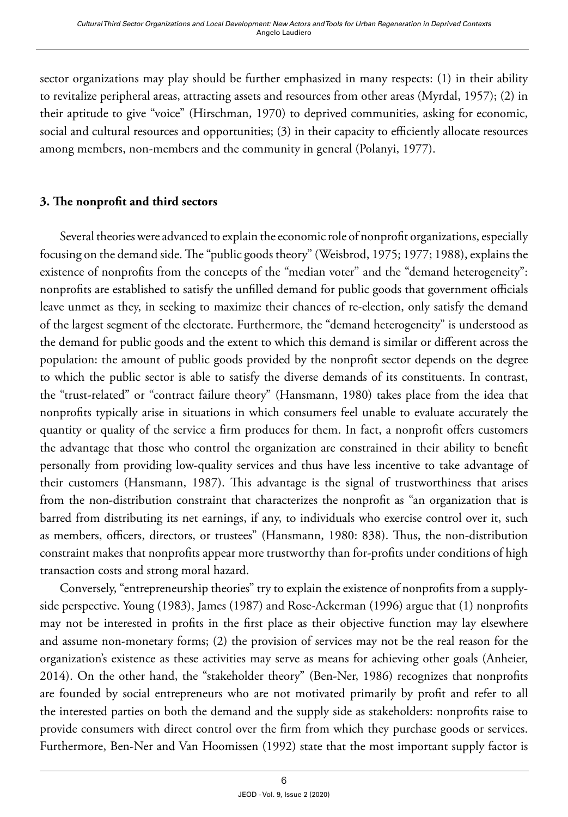sector organizations may play should be further emphasized in many respects: (1) in their ability to revitalize peripheral areas, attracting assets and resources from other areas (Myrdal, 1957); (2) in their aptitude to give "voice" (Hirschman, 1970) to deprived communities, asking for economic, social and cultural resources and opportunities; (3) in their capacity to efficiently allocate resources among members, non-members and the community in general (Polanyi, 1977).

#### **3. The nonprofit and third sectors**

Several theories were advanced to explain the economic role of nonprofit organizations, especially focusing on the demand side. The "public goods theory" (Weisbrod, 1975; 1977; 1988), explains the existence of nonprofits from the concepts of the "median voter" and the "demand heterogeneity": nonprofits are established to satisfy the unfilled demand for public goods that government officials leave unmet as they, in seeking to maximize their chances of re-election, only satisfy the demand of the largest segment of the electorate. Furthermore, the "demand heterogeneity" is understood as the demand for public goods and the extent to which this demand is similar or different across the population: the amount of public goods provided by the nonprofit sector depends on the degree to which the public sector is able to satisfy the diverse demands of its constituents. In contrast, the "trust-related" or "contract failure theory" (Hansmann, 1980) takes place from the idea that nonprofits typically arise in situations in which consumers feel unable to evaluate accurately the quantity or quality of the service a firm produces for them. In fact, a nonprofit offers customers the advantage that those who control the organization are constrained in their ability to benefit personally from providing low-quality services and thus have less incentive to take advantage of their customers (Hansmann, 1987). This advantage is the signal of trustworthiness that arises from the non-distribution constraint that characterizes the nonprofit as "an organization that is barred from distributing its net earnings, if any, to individuals who exercise control over it, such as members, officers, directors, or trustees" (Hansmann, 1980: 838). Thus, the non-distribution constraint makes that nonprofits appear more trustworthy than for-profits under conditions of high transaction costs and strong moral hazard.

Conversely, "entrepreneurship theories" try to explain the existence of nonprofits from a supplyside perspective. Young (1983), James (1987) and Rose-Ackerman (1996) argue that (1) nonprofits may not be interested in profits in the first place as their objective function may lay elsewhere and assume non-monetary forms; (2) the provision of services may not be the real reason for the organization's existence as these activities may serve as means for achieving other goals (Anheier, 2014). On the other hand, the "stakeholder theory" (Ben-Ner, 1986) recognizes that nonprofits are founded by social entrepreneurs who are not motivated primarily by profit and refer to all the interested parties on both the demand and the supply side as stakeholders: nonprofits raise to provide consumers with direct control over the firm from which they purchase goods or services. Furthermore, Ben-Ner and Van Hoomissen (1992) state that the most important supply factor is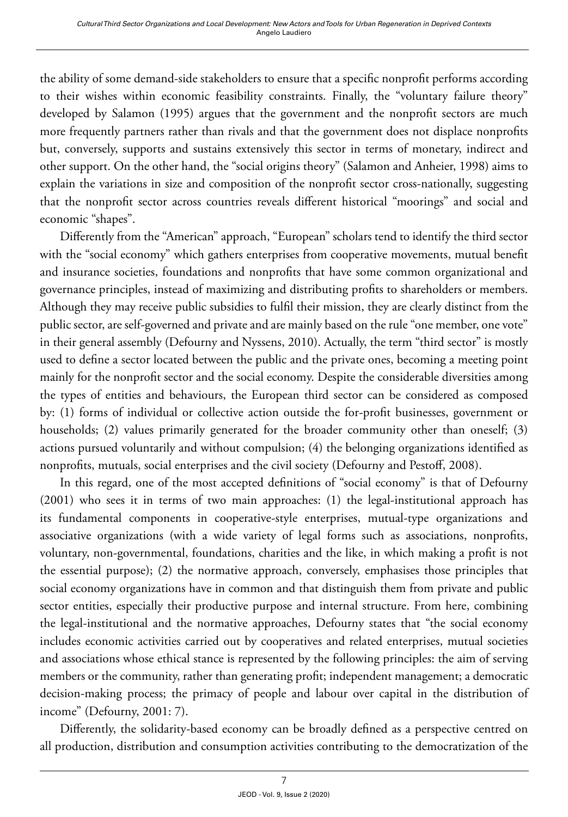the ability of some demand-side stakeholders to ensure that a specific nonprofit performs according to their wishes within economic feasibility constraints. Finally, the "voluntary failure theory" developed by Salamon (1995) argues that the government and the nonprofit sectors are much more frequently partners rather than rivals and that the government does not displace nonprofits but, conversely, supports and sustains extensively this sector in terms of monetary, indirect and other support. On the other hand, the "social origins theory" (Salamon and Anheier, 1998) aims to explain the variations in size and composition of the nonprofit sector cross-nationally, suggesting that the nonprofit sector across countries reveals different historical "moorings" and social and economic "shapes".

Differently from the "American" approach, "European" scholars tend to identify the third sector with the "social economy" which gathers enterprises from cooperative movements, mutual benefit and insurance societies, foundations and nonprofits that have some common organizational and governance principles, instead of maximizing and distributing profits to shareholders or members. Although they may receive public subsidies to fulfil their mission, they are clearly distinct from the public sector, are self-governed and private and are mainly based on the rule "one member, one vote" in their general assembly (Defourny and Nyssens, 2010). Actually, the term "third sector" is mostly used to define a sector located between the public and the private ones, becoming a meeting point mainly for the nonprofit sector and the social economy. Despite the considerable diversities among the types of entities and behaviours, the European third sector can be considered as composed by: (1) forms of individual or collective action outside the for-profit businesses, government or households; (2) values primarily generated for the broader community other than oneself; (3) actions pursued voluntarily and without compulsion; (4) the belonging organizations identified as nonprofits, mutuals, social enterprises and the civil society (Defourny and Pestoff, 2008).

In this regard, one of the most accepted definitions of "social economy" is that of Defourny (2001) who sees it in terms of two main approaches: (1) the legal-institutional approach has its fundamental components in cooperative-style enterprises, mutual-type organizations and associative organizations (with a wide variety of legal forms such as associations, nonprofits, voluntary, non-governmental, foundations, charities and the like, in which making a profit is not the essential purpose); (2) the normative approach, conversely, emphasises those principles that social economy organizations have in common and that distinguish them from private and public sector entities, especially their productive purpose and internal structure. From here, combining the legal-institutional and the normative approaches, Defourny states that "the social economy includes economic activities carried out by cooperatives and related enterprises, mutual societies and associations whose ethical stance is represented by the following principles: the aim of serving members or the community, rather than generating profit; independent management; a democratic decision-making process; the primacy of people and labour over capital in the distribution of income" (Defourny, 2001: 7).

Differently, the solidarity-based economy can be broadly defined as a perspective centred on all production, distribution and consumption activities contributing to the democratization of the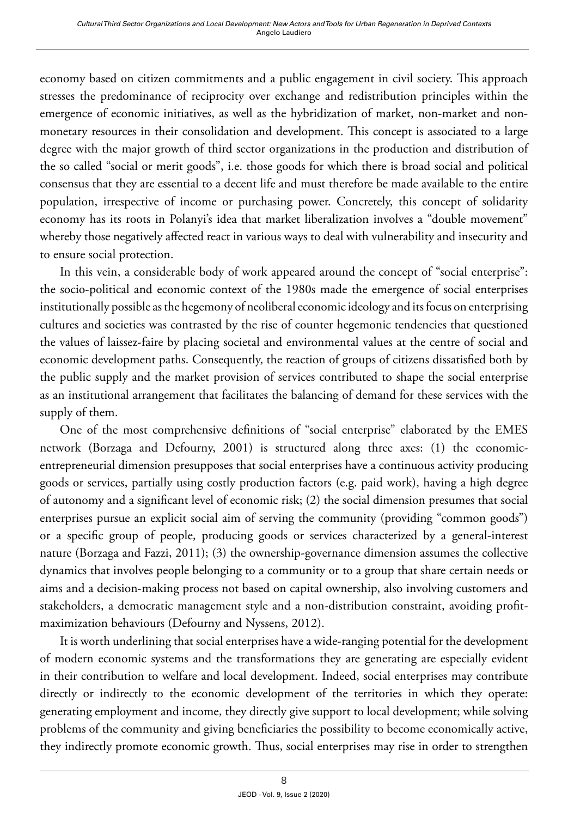economy based on citizen commitments and a public engagement in civil society. This approach stresses the predominance of reciprocity over exchange and redistribution principles within the emergence of economic initiatives, as well as the hybridization of market, non-market and nonmonetary resources in their consolidation and development. This concept is associated to a large degree with the major growth of third sector organizations in the production and distribution of the so called "social or merit goods", i.e. those goods for which there is broad social and political consensus that they are essential to a decent life and must therefore be made available to the entire population, irrespective of income or purchasing power. Concretely, this concept of solidarity economy has its roots in Polanyi's idea that market liberalization involves a "double movement" whereby those negatively affected react in various ways to deal with vulnerability and insecurity and to ensure social protection.

In this vein, a considerable body of work appeared around the concept of "social enterprise": the socio-political and economic context of the 1980s made the emergence of social enterprises institutionally possible as the hegemony of neoliberal economic ideology and its focus on enterprising cultures and societies was contrasted by the rise of counter hegemonic tendencies that questioned the values of laissez-faire by placing societal and environmental values at the centre of social and economic development paths. Consequently, the reaction of groups of citizens dissatisfied both by the public supply and the market provision of services contributed to shape the social enterprise as an institutional arrangement that facilitates the balancing of demand for these services with the supply of them.

One of the most comprehensive definitions of "social enterprise" elaborated by the EMES network (Borzaga and Defourny, 2001) is structured along three axes: (1) the economicentrepreneurial dimension presupposes that social enterprises have a continuous activity producing goods or services, partially using costly production factors (e.g. paid work), having a high degree of autonomy and a significant level of economic risk; (2) the social dimension presumes that social enterprises pursue an explicit social aim of serving the community (providing "common goods") or a specific group of people, producing goods or services characterized by a general-interest nature (Borzaga and Fazzi, 2011); (3) the ownership-governance dimension assumes the collective dynamics that involves people belonging to a community or to a group that share certain needs or aims and a decision-making process not based on capital ownership, also involving customers and stakeholders, a democratic management style and a non-distribution constraint, avoiding profitmaximization behaviours (Defourny and Nyssens, 2012).

It is worth underlining that social enterprises have a wide-ranging potential for the development of modern economic systems and the transformations they are generating are especially evident in their contribution to welfare and local development. Indeed, social enterprises may contribute directly or indirectly to the economic development of the territories in which they operate: generating employment and income, they directly give support to local development; while solving problems of the community and giving beneficiaries the possibility to become economically active, they indirectly promote economic growth. Thus, social enterprises may rise in order to strengthen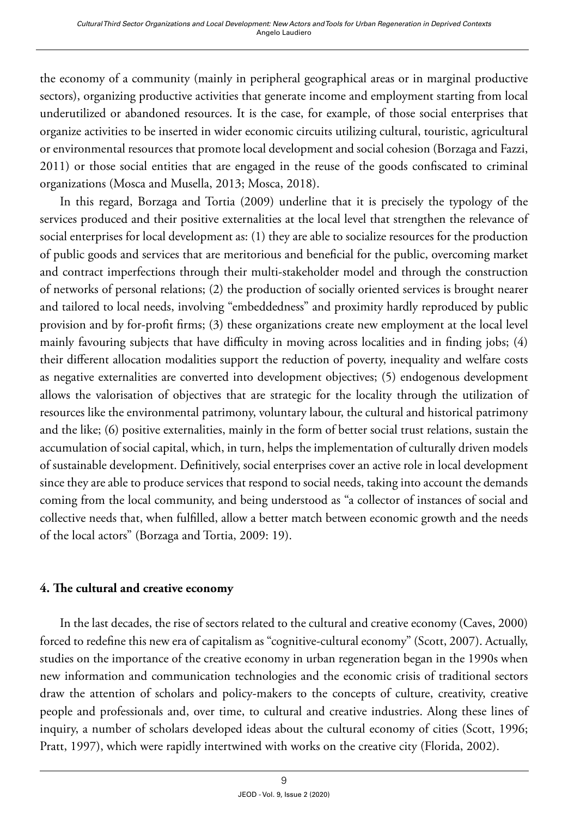the economy of a community (mainly in peripheral geographical areas or in marginal productive sectors), organizing productive activities that generate income and employment starting from local underutilized or abandoned resources. It is the case, for example, of those social enterprises that organize activities to be inserted in wider economic circuits utilizing cultural, touristic, agricultural or environmental resources that promote local development and social cohesion (Borzaga and Fazzi, 2011) or those social entities that are engaged in the reuse of the goods confiscated to criminal organizations (Mosca and Musella, 2013; Mosca, 2018).

In this regard, Borzaga and Tortia (2009) underline that it is precisely the typology of the services produced and their positive externalities at the local level that strengthen the relevance of social enterprises for local development as: (1) they are able to socialize resources for the production of public goods and services that are meritorious and beneficial for the public, overcoming market and contract imperfections through their multi-stakeholder model and through the construction of networks of personal relations; (2) the production of socially oriented services is brought nearer and tailored to local needs, involving "embeddedness" and proximity hardly reproduced by public provision and by for-profit firms; (3) these organizations create new employment at the local level mainly favouring subjects that have difficulty in moving across localities and in finding jobs; (4) their different allocation modalities support the reduction of poverty, inequality and welfare costs as negative externalities are converted into development objectives; (5) endogenous development allows the valorisation of objectives that are strategic for the locality through the utilization of resources like the environmental patrimony, voluntary labour, the cultural and historical patrimony and the like; (6) positive externalities, mainly in the form of better social trust relations, sustain the accumulation of social capital, which, in turn, helps the implementation of culturally driven models of sustainable development. Definitively, social enterprises cover an active role in local development since they are able to produce services that respond to social needs, taking into account the demands coming from the local community, and being understood as "a collector of instances of social and collective needs that, when fulfilled, allow a better match between economic growth and the needs of the local actors" (Borzaga and Tortia, 2009: 19).

#### **4. The cultural and creative economy**

In the last decades, the rise of sectors related to the cultural and creative economy (Caves, 2000) forced to redefine this new era of capitalism as "cognitive-cultural economy" (Scott, 2007). Actually, studies on the importance of the creative economy in urban regeneration began in the 1990s when new information and communication technologies and the economic crisis of traditional sectors draw the attention of scholars and policy-makers to the concepts of culture, creativity, creative people and professionals and, over time, to cultural and creative industries. Along these lines of inquiry, a number of scholars developed ideas about the cultural economy of cities (Scott, 1996; Pratt, 1997), which were rapidly intertwined with works on the creative city (Florida, 2002).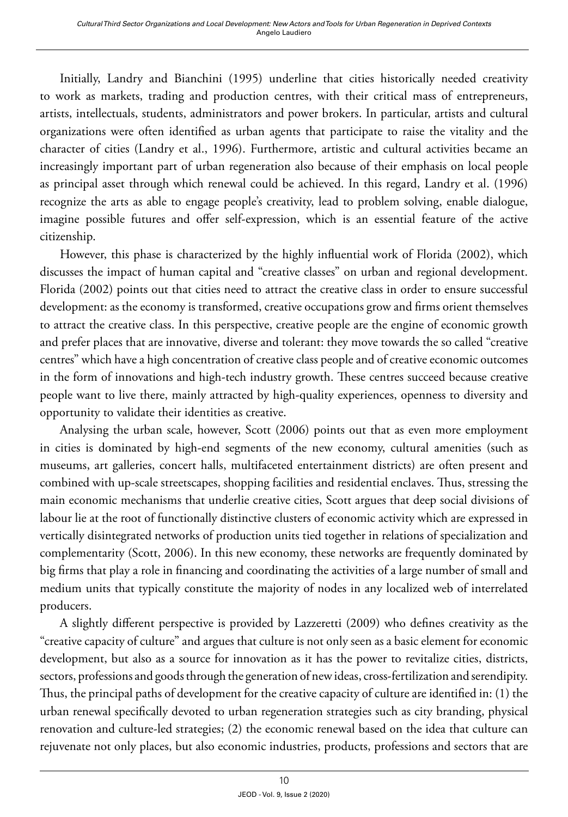Initially, Landry and Bianchini (1995) underline that cities historically needed creativity to work as markets, trading and production centres, with their critical mass of entrepreneurs, artists, intellectuals, students, administrators and power brokers. In particular, artists and cultural organizations were often identified as urban agents that participate to raise the vitality and the character of cities (Landry et al., 1996). Furthermore, artistic and cultural activities became an increasingly important part of urban regeneration also because of their emphasis on local people as principal asset through which renewal could be achieved. In this regard, Landry et al. (1996) recognize the arts as able to engage people's creativity, lead to problem solving, enable dialogue, imagine possible futures and offer self-expression, which is an essential feature of the active citizenship.

However, this phase is characterized by the highly influential work of Florida (2002), which discusses the impact of human capital and "creative classes" on urban and regional development. Florida (2002) points out that cities need to attract the creative class in order to ensure successful development: as the economy is transformed, creative occupations grow and firms orient themselves to attract the creative class. In this perspective, creative people are the engine of economic growth and prefer places that are innovative, diverse and tolerant: they move towards the so called "creative centres" which have a high concentration of creative class people and of creative economic outcomes in the form of innovations and high-tech industry growth. These centres succeed because creative people want to live there, mainly attracted by high-quality experiences, openness to diversity and opportunity to validate their identities as creative.

Analysing the urban scale, however, Scott (2006) points out that as even more employment in cities is dominated by high-end segments of the new economy, cultural amenities (such as museums, art galleries, concert halls, multifaceted entertainment districts) are often present and combined with up-scale streetscapes, shopping facilities and residential enclaves. Thus, stressing the main economic mechanisms that underlie creative cities, Scott argues that deep social divisions of labour lie at the root of functionally distinctive clusters of economic activity which are expressed in vertically disintegrated networks of production units tied together in relations of specialization and complementarity (Scott, 2006). In this new economy, these networks are frequently dominated by big firms that play a role in financing and coordinating the activities of a large number of small and medium units that typically constitute the majority of nodes in any localized web of interrelated producers.

A slightly different perspective is provided by Lazzeretti (2009) who defines creativity as the "creative capacity of culture" and argues that culture is not only seen as a basic element for economic development, but also as a source for innovation as it has the power to revitalize cities, districts, sectors, professions and goods through the generation of new ideas, cross-fertilization and serendipity. Thus, the principal paths of development for the creative capacity of culture are identified in: (1) the urban renewal specifically devoted to urban regeneration strategies such as city branding, physical renovation and culture-led strategies; (2) the economic renewal based on the idea that culture can rejuvenate not only places, but also economic industries, products, professions and sectors that are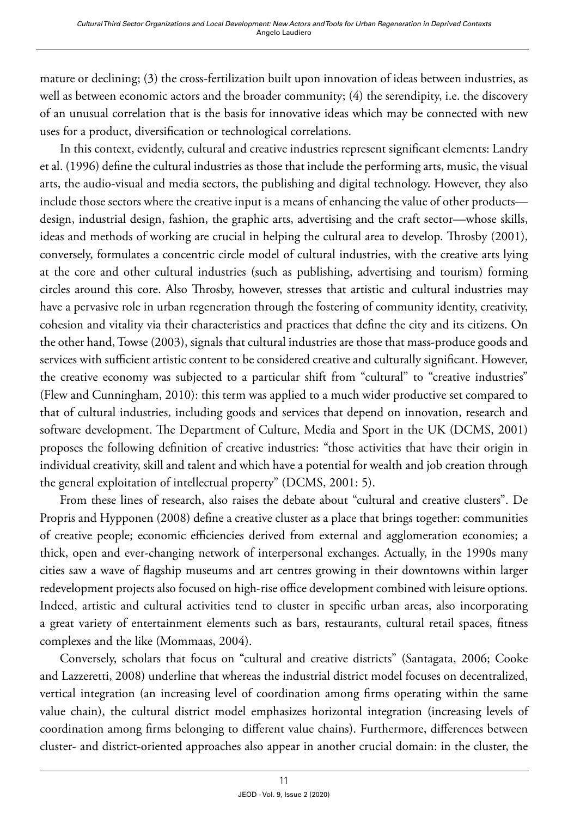mature or declining; (3) the cross-fertilization built upon innovation of ideas between industries, as well as between economic actors and the broader community; (4) the serendipity, i.e. the discovery of an unusual correlation that is the basis for innovative ideas which may be connected with new uses for a product, diversification or technological correlations.

In this context, evidently, cultural and creative industries represent significant elements: Landry et al. (1996) define the cultural industries as those that include the performing arts, music, the visual arts, the audio-visual and media sectors, the publishing and digital technology. However, they also include those sectors where the creative input is a means of enhancing the value of other products design, industrial design, fashion, the graphic arts, advertising and the craft sector—whose skills, ideas and methods of working are crucial in helping the cultural area to develop. Throsby (2001), conversely, formulates a concentric circle model of cultural industries, with the creative arts lying at the core and other cultural industries (such as publishing, advertising and tourism) forming circles around this core. Also Throsby, however, stresses that artistic and cultural industries may have a pervasive role in urban regeneration through the fostering of community identity, creativity, cohesion and vitality via their characteristics and practices that define the city and its citizens. On the other hand, Towse (2003), signals that cultural industries are those that mass-produce goods and services with sufficient artistic content to be considered creative and culturally significant. However, the creative economy was subjected to a particular shift from "cultural" to "creative industries" (Flew and Cunningham, 2010): this term was applied to a much wider productive set compared to that of cultural industries, including goods and services that depend on innovation, research and software development. The Department of Culture, Media and Sport in the UK (DCMS, 2001) proposes the following definition of creative industries: "those activities that have their origin in individual creativity, skill and talent and which have a potential for wealth and job creation through the general exploitation of intellectual property" (DCMS, 2001: 5).

From these lines of research, also raises the debate about "cultural and creative clusters". De Propris and Hypponen (2008) define a creative cluster as a place that brings together: communities of creative people; economic efficiencies derived from external and agglomeration economies; a thick, open and ever-changing network of interpersonal exchanges. Actually, in the 1990s many cities saw a wave of flagship museums and art centres growing in their downtowns within larger redevelopment projects also focused on high-rise office development combined with leisure options. Indeed, artistic and cultural activities tend to cluster in specific urban areas, also incorporating a great variety of entertainment elements such as bars, restaurants, cultural retail spaces, fitness complexes and the like (Mommaas, 2004).

Conversely, scholars that focus on "cultural and creative districts" (Santagata, 2006; Cooke and Lazzeretti, 2008) underline that whereas the industrial district model focuses on decentralized, vertical integration (an increasing level of coordination among firms operating within the same value chain), the cultural district model emphasizes horizontal integration (increasing levels of coordination among firms belonging to different value chains). Furthermore, differences between cluster- and district-oriented approaches also appear in another crucial domain: in the cluster, the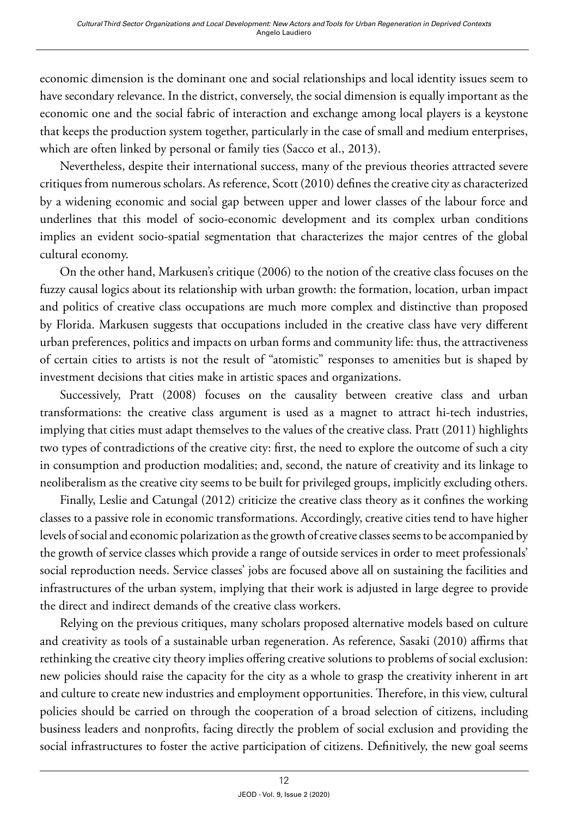economic dimension is the dominant one and social relationships and local identity issues seem to have secondary relevance. In the district, conversely, the social dimension is equally important as the economic one and the social fabric of interaction and exchange among local players is a keystone that keeps the production system together, particularly in the case of small and medium enterprises, which are often linked by personal or family ties (Sacco et al., 2013).

Nevertheless, despite their international success, many of the previous theories attracted severe critiques from numerous scholars. As reference, Scott (2010) defines the creative city as characterized by a widening economic and social gap between upper and lower classes of the labour force and underlines that this model of socio-economic development and its complex urban conditions implies an evident socio-spatial segmentation that characterizes the major centres of the global cultural economy.

On the other hand, Markusen's critique (2006) to the notion of the creative class focuses on the fuzzy causal logics about its relationship with urban growth: the formation, location, urban impact and politics of creative class occupations are much more complex and distinctive than proposed by Florida. Markusen suggests that occupations included in the creative class have very different urban preferences, politics and impacts on urban forms and community life: thus, the attractiveness of certain cities to artists is not the result of "atomistic" responses to amenities but is shaped by investment decisions that cities make in artistic spaces and organizations.

Successively, Pratt (2008) focuses on the causality between creative class and urban transformations: the creative class argument is used as a magnet to attract hi-tech industries, implying that cities must adapt themselves to the values of the creative class. Pratt (2011) highlights two types of contradictions of the creative city: first, the need to explore the outcome of such a city in consumption and production modalities; and, second, the nature of creativity and its linkage to neoliberalism as the creative city seems to be built for privileged groups, implicitly excluding others.

Finally, Leslie and Catungal (2012) criticize the creative class theory as it confines the working classes to a passive role in economic transformations. Accordingly, creative cities tend to have higher levels of social and economic polarization as the growth of creative classes seems to be accompanied by the growth of service classes which provide a range of outside services in order to meet professionals' social reproduction needs. Service classes' jobs are focused above all on sustaining the facilities and infrastructures of the urban system, implying that their work is adjusted in large degree to provide the direct and indirect demands of the creative class workers.

Relying on the previous critiques, many scholars proposed alternative models based on culture and creativity as tools of a sustainable urban regeneration. As reference, Sasaki (2010) affirms that rethinking the creative city theory implies offering creative solutions to problems of social exclusion: new policies should raise the capacity for the city as a whole to grasp the creativity inherent in art and culture to create new industries and employment opportunities. Therefore, in this view, cultural policies should be carried on through the cooperation of a broad selection of citizens, including business leaders and nonprofits, facing directly the problem of social exclusion and providing the social infrastructures to foster the active participation of citizens. Definitively, the new goal seems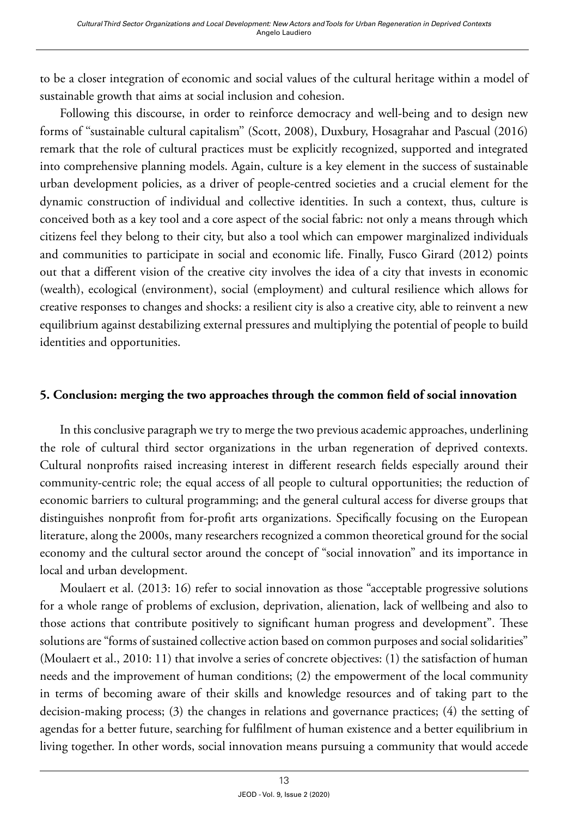to be a closer integration of economic and social values of the cultural heritage within a model of sustainable growth that aims at social inclusion and cohesion.

Following this discourse, in order to reinforce democracy and well-being and to design new forms of ''sustainable cultural capitalism'' (Scott, 2008), Duxbury, Hosagrahar and Pascual (2016) remark that the role of cultural practices must be explicitly recognized, supported and integrated into comprehensive planning models. Again, culture is a key element in the success of sustainable urban development policies, as a driver of people-centred societies and a crucial element for the dynamic construction of individual and collective identities. In such a context, thus, culture is conceived both as a key tool and a core aspect of the social fabric: not only a means through which citizens feel they belong to their city, but also a tool which can empower marginalized individuals and communities to participate in social and economic life. Finally, Fusco Girard (2012) points out that a different vision of the creative city involves the idea of a city that invests in economic (wealth), ecological (environment), social (employment) and cultural resilience which allows for creative responses to changes and shocks: a resilient city is also a creative city, able to reinvent a new equilibrium against destabilizing external pressures and multiplying the potential of people to build identities and opportunities.

#### **5. Conclusion: merging the two approaches through the common field of social innovation**

In this conclusive paragraph we try to merge the two previous academic approaches, underlining the role of cultural third sector organizations in the urban regeneration of deprived contexts. Cultural nonprofits raised increasing interest in different research fields especially around their community-centric role; the equal access of all people to cultural opportunities; the reduction of economic barriers to cultural programming; and the general cultural access for diverse groups that distinguishes nonprofit from for-profit arts organizations. Specifically focusing on the European literature, along the 2000s, many researchers recognized a common theoretical ground for the social economy and the cultural sector around the concept of "social innovation" and its importance in local and urban development.

Moulaert et al. (2013: 16) refer to social innovation as those "acceptable progressive solutions for a whole range of problems of exclusion, deprivation, alienation, lack of wellbeing and also to those actions that contribute positively to significant human progress and development". These solutions are "forms of sustained collective action based on common purposes and social solidarities" (Moulaert et al., 2010: 11) that involve a series of concrete objectives: (1) the satisfaction of human needs and the improvement of human conditions; (2) the empowerment of the local community in terms of becoming aware of their skills and knowledge resources and of taking part to the decision-making process; (3) the changes in relations and governance practices; (4) the setting of agendas for a better future, searching for fulfilment of human existence and a better equilibrium in living together. In other words, social innovation means pursuing a community that would accede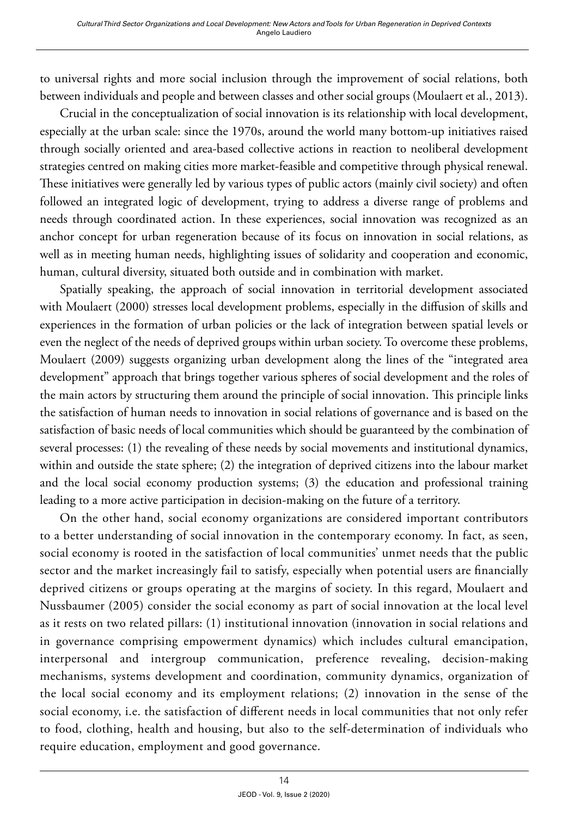to universal rights and more social inclusion through the improvement of social relations, both between individuals and people and between classes and other social groups (Moulaert et al., 2013).

Crucial in the conceptualization of social innovation is its relationship with local development, especially at the urban scale: since the 1970s, around the world many bottom-up initiatives raised through socially oriented and area-based collective actions in reaction to neoliberal development strategies centred on making cities more market-feasible and competitive through physical renewal. These initiatives were generally led by various types of public actors (mainly civil society) and often followed an integrated logic of development, trying to address a diverse range of problems and needs through coordinated action. In these experiences, social innovation was recognized as an anchor concept for urban regeneration because of its focus on innovation in social relations, as well as in meeting human needs, highlighting issues of solidarity and cooperation and economic, human, cultural diversity, situated both outside and in combination with market.

Spatially speaking, the approach of social innovation in territorial development associated with Moulaert (2000) stresses local development problems, especially in the diffusion of skills and experiences in the formation of urban policies or the lack of integration between spatial levels or even the neglect of the needs of deprived groups within urban society. To overcome these problems, Moulaert (2009) suggests organizing urban development along the lines of the "integrated area development" approach that brings together various spheres of social development and the roles of the main actors by structuring them around the principle of social innovation. This principle links the satisfaction of human needs to innovation in social relations of governance and is based on the satisfaction of basic needs of local communities which should be guaranteed by the combination of several processes: (1) the revealing of these needs by social movements and institutional dynamics, within and outside the state sphere; (2) the integration of deprived citizens into the labour market and the local social economy production systems; (3) the education and professional training leading to a more active participation in decision-making on the future of a territory.

On the other hand, social economy organizations are considered important contributors to a better understanding of social innovation in the contemporary economy. In fact, as seen, social economy is rooted in the satisfaction of local communities' unmet needs that the public sector and the market increasingly fail to satisfy, especially when potential users are financially deprived citizens or groups operating at the margins of society. In this regard, Moulaert and Nussbaumer (2005) consider the social economy as part of social innovation at the local level as it rests on two related pillars: (1) institutional innovation (innovation in social relations and in governance comprising empowerment dynamics) which includes cultural emancipation, interpersonal and intergroup communication, preference revealing, decision-making mechanisms, systems development and coordination, community dynamics, organization of the local social economy and its employment relations; (2) innovation in the sense of the social economy, i.e. the satisfaction of different needs in local communities that not only refer to food, clothing, health and housing, but also to the self-determination of individuals who require education, employment and good governance.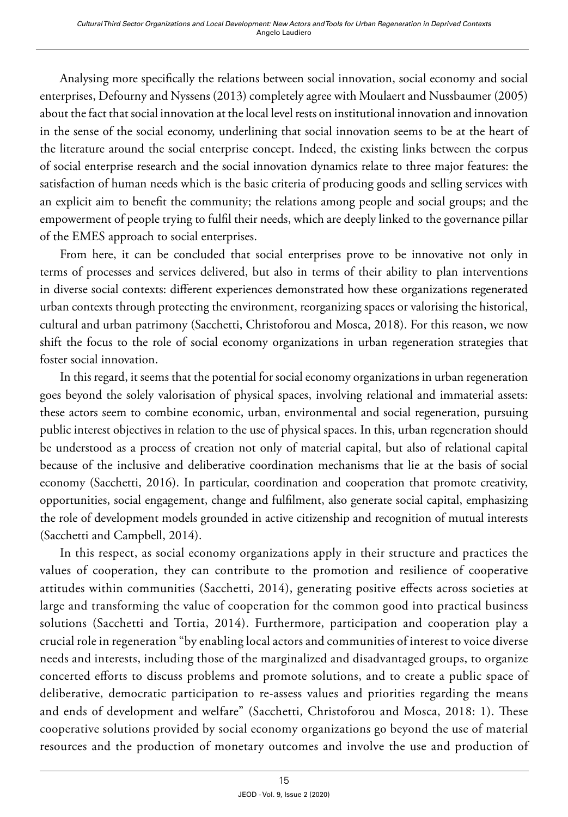Analysing more specifically the relations between social innovation, social economy and social enterprises, Defourny and Nyssens (2013) completely agree with Moulaert and Nussbaumer (2005) about the fact that social innovation at the local level rests on institutional innovation and innovation in the sense of the social economy, underlining that social innovation seems to be at the heart of the literature around the social enterprise concept. Indeed, the existing links between the corpus of social enterprise research and the social innovation dynamics relate to three major features: the satisfaction of human needs which is the basic criteria of producing goods and selling services with an explicit aim to benefit the community; the relations among people and social groups; and the empowerment of people trying to fulfil their needs, which are deeply linked to the governance pillar of the EMES approach to social enterprises.

From here, it can be concluded that social enterprises prove to be innovative not only in terms of processes and services delivered, but also in terms of their ability to plan interventions in diverse social contexts: different experiences demonstrated how these organizations regenerated urban contexts through protecting the environment, reorganizing spaces or valorising the historical, cultural and urban patrimony (Sacchetti, Christoforou and Mosca, 2018). For this reason, we now shift the focus to the role of social economy organizations in urban regeneration strategies that foster social innovation.

In this regard, it seems that the potential for social economy organizations in urban regeneration goes beyond the solely valorisation of physical spaces, involving relational and immaterial assets: these actors seem to combine economic, urban, environmental and social regeneration, pursuing public interest objectives in relation to the use of physical spaces. In this, urban regeneration should be understood as a process of creation not only of material capital, but also of relational capital because of the inclusive and deliberative coordination mechanisms that lie at the basis of social economy (Sacchetti, 2016). In particular, coordination and cooperation that promote creativity, opportunities, social engagement, change and fulfilment, also generate social capital, emphasizing the role of development models grounded in active citizenship and recognition of mutual interests (Sacchetti and Campbell, 2014).

In this respect, as social economy organizations apply in their structure and practices the values of cooperation, they can contribute to the promotion and resilience of cooperative attitudes within communities (Sacchetti, 2014), generating positive effects across societies at large and transforming the value of cooperation for the common good into practical business solutions (Sacchetti and Tortia, 2014). Furthermore, participation and cooperation play a crucial role in regeneration "by enabling local actors and communities of interest to voice diverse needs and interests, including those of the marginalized and disadvantaged groups, to organize concerted efforts to discuss problems and promote solutions, and to create a public space of deliberative, democratic participation to re-assess values and priorities regarding the means and ends of development and welfare" (Sacchetti, Christoforou and Mosca, 2018: 1). These cooperative solutions provided by social economy organizations go beyond the use of material resources and the production of monetary outcomes and involve the use and production of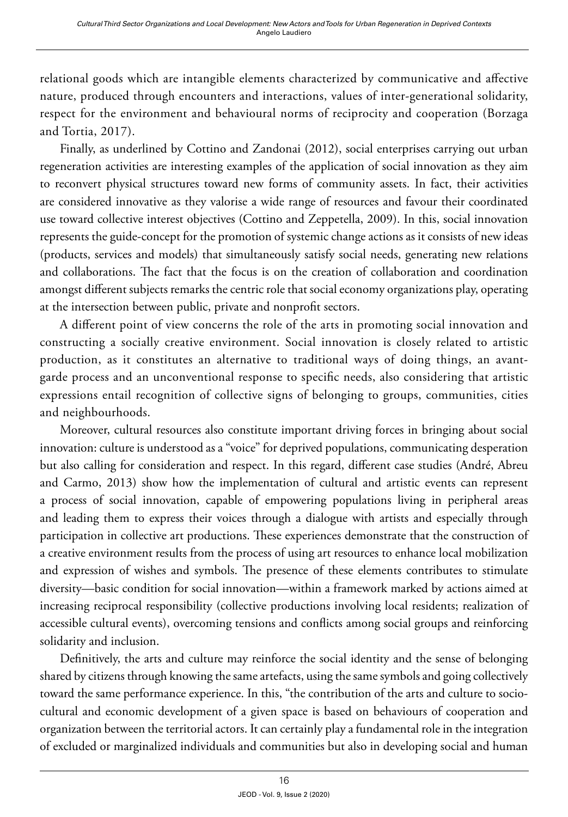relational goods which are intangible elements characterized by communicative and affective nature, produced through encounters and interactions, values of inter-generational solidarity, respect for the environment and behavioural norms of reciprocity and cooperation (Borzaga and Tortia, 2017).

Finally, as underlined by Cottino and Zandonai (2012), social enterprises carrying out urban regeneration activities are interesting examples of the application of social innovation as they aim to reconvert physical structures toward new forms of community assets. In fact, their activities are considered innovative as they valorise a wide range of resources and favour their coordinated use toward collective interest objectives (Cottino and Zeppetella, 2009). In this, social innovation represents the guide-concept for the promotion of systemic change actions as it consists of new ideas (products, services and models) that simultaneously satisfy social needs, generating new relations and collaborations. The fact that the focus is on the creation of collaboration and coordination amongst different subjects remarks the centric role that social economy organizations play, operating at the intersection between public, private and nonprofit sectors.

A different point of view concerns the role of the arts in promoting social innovation and constructing a socially creative environment. Social innovation is closely related to artistic production, as it constitutes an alternative to traditional ways of doing things, an avantgarde process and an unconventional response to specific needs, also considering that artistic expressions entail recognition of collective signs of belonging to groups, communities, cities and neighbourhoods.

Moreover, cultural resources also constitute important driving forces in bringing about social innovation: culture is understood as a "voice" for deprived populations, communicating desperation but also calling for consideration and respect. In this regard, different case studies (André, Abreu and Carmo, 2013) show how the implementation of cultural and artistic events can represent a process of social innovation, capable of empowering populations living in peripheral areas and leading them to express their voices through a dialogue with artists and especially through participation in collective art productions. These experiences demonstrate that the construction of a creative environment results from the process of using art resources to enhance local mobilization and expression of wishes and symbols. The presence of these elements contributes to stimulate diversity—basic condition for social innovation—within a framework marked by actions aimed at increasing reciprocal responsibility (collective productions involving local residents; realization of accessible cultural events), overcoming tensions and conflicts among social groups and reinforcing solidarity and inclusion.

Definitively, the arts and culture may reinforce the social identity and the sense of belonging shared by citizens through knowing the same artefacts, using the same symbols and going collectively toward the same performance experience. In this, "the contribution of the arts and culture to sociocultural and economic development of a given space is based on behaviours of cooperation and organization between the territorial actors. It can certainly play a fundamental role in the integration of excluded or marginalized individuals and communities but also in developing social and human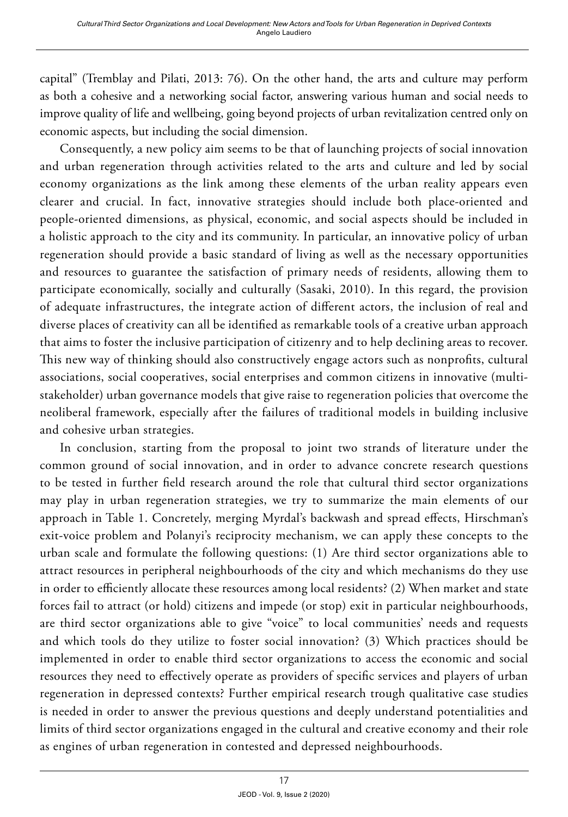capital" (Tremblay and Pilati, 2013: 76). On the other hand, the arts and culture may perform as both a cohesive and a networking social factor, answering various human and social needs to improve quality of life and wellbeing, going beyond projects of urban revitalization centred only on economic aspects, but including the social dimension.

Consequently, a new policy aim seems to be that of launching projects of social innovation and urban regeneration through activities related to the arts and culture and led by social economy organizations as the link among these elements of the urban reality appears even clearer and crucial. In fact, innovative strategies should include both place-oriented and people-oriented dimensions, as physical, economic, and social aspects should be included in a holistic approach to the city and its community. In particular, an innovative policy of urban regeneration should provide a basic standard of living as well as the necessary opportunities and resources to guarantee the satisfaction of primary needs of residents, allowing them to participate economically, socially and culturally (Sasaki, 2010). In this regard, the provision of adequate infrastructures, the integrate action of different actors, the inclusion of real and diverse places of creativity can all be identified as remarkable tools of a creative urban approach that aims to foster the inclusive participation of citizenry and to help declining areas to recover. This new way of thinking should also constructively engage actors such as nonprofits, cultural associations, social cooperatives, social enterprises and common citizens in innovative (multistakeholder) urban governance models that give raise to regeneration policies that overcome the neoliberal framework, especially after the failures of traditional models in building inclusive and cohesive urban strategies.

In conclusion, starting from the proposal to joint two strands of literature under the common ground of social innovation, and in order to advance concrete research questions to be tested in further field research around the role that cultural third sector organizations may play in urban regeneration strategies, we try to summarize the main elements of our approach in Table 1. Concretely, merging Myrdal's backwash and spread effects, Hirschman's exit-voice problem and Polanyi's reciprocity mechanism, we can apply these concepts to the urban scale and formulate the following questions: (1) Are third sector organizations able to attract resources in peripheral neighbourhoods of the city and which mechanisms do they use in order to efficiently allocate these resources among local residents? (2) When market and state forces fail to attract (or hold) citizens and impede (or stop) exit in particular neighbourhoods, are third sector organizations able to give "voice" to local communities' needs and requests and which tools do they utilize to foster social innovation? (3) Which practices should be implemented in order to enable third sector organizations to access the economic and social resources they need to effectively operate as providers of specific services and players of urban regeneration in depressed contexts? Further empirical research trough qualitative case studies is needed in order to answer the previous questions and deeply understand potentialities and limits of third sector organizations engaged in the cultural and creative economy and their role as engines of urban regeneration in contested and depressed neighbourhoods.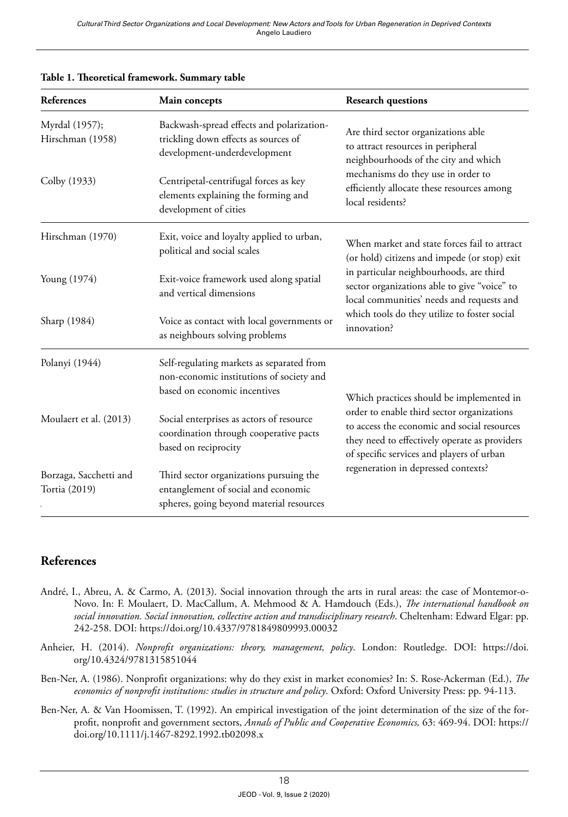| <b>References</b>                       | Main concepts                                                                                                              | <b>Research questions</b>                                                                                                                                                                                                                                                                           |
|-----------------------------------------|----------------------------------------------------------------------------------------------------------------------------|-----------------------------------------------------------------------------------------------------------------------------------------------------------------------------------------------------------------------------------------------------------------------------------------------------|
| Myrdal (1957);<br>Hirschman (1958)      | Backwash-spread effects and polarization-<br>trickling down effects as sources of<br>development-underdevelopment          | Are third sector organizations able<br>to attract resources in peripheral<br>neighbourhoods of the city and which<br>mechanisms do they use in order to<br>efficiently allocate these resources among<br>local residents?                                                                           |
| Colby (1933)                            | Centripetal-centrifugal forces as key<br>elements explaining the forming and<br>development of cities                      |                                                                                                                                                                                                                                                                                                     |
| Hirschman (1970)                        | Exit, voice and loyalty applied to urban,<br>political and social scales                                                   | When market and state forces fail to attract<br>(or hold) citizens and impede (or stop) exit<br>in particular neighbourhoods, are third<br>sector organizations able to give "voice" to<br>local communities' needs and requests and<br>which tools do they utilize to foster social<br>innovation? |
| Young (1974)                            | Exit-voice framework used along spatial<br>and vertical dimensions                                                         |                                                                                                                                                                                                                                                                                                     |
| Sharp (1984)                            | Voice as contact with local governments or<br>as neighbours solving problems                                               |                                                                                                                                                                                                                                                                                                     |
| Polanyi (1944)                          | Self-regulating markets as separated from<br>non-economic institutions of society and<br>based on economic incentives      | Which practices should be implemented in<br>order to enable third sector organizations<br>to access the economic and social resources<br>they need to effectively operate as providers<br>of specific services and players of urban<br>regeneration in depressed contexts?                          |
| Moulaert et al. (2013)                  | Social enterprises as actors of resource<br>coordination through cooperative pacts<br>based on reciprocity                 |                                                                                                                                                                                                                                                                                                     |
| Borzaga, Sacchetti and<br>Tortia (2019) | Third sector organizations pursuing the<br>entanglement of social and economic<br>spheres, going beyond material resources |                                                                                                                                                                                                                                                                                                     |

#### **Table 1. Theoretical framework. Summary table**

#### **References**

- André, I., Abreu, A. & Carmo, A. (2013). Social innovation through the arts in rural areas: the case of Montemor-o-Novo. In: F. Moulaert, D. MacCallum, A. Mehmood & A. Hamdouch (Eds.), *The international handbook on social innovation. Social innovation, collective action and transdisciplinary research*. Cheltenham: Edward Elgar: pp. 242-258. DOI:<https://doi.org/10.4337/9781849809993.00032>
- Anheier, H. (2014). *Nonprofit organizations: theory, management, policy*. London: Routledge. DOI: [https://doi.](https://doi.org/10.4324/9781315851044) [org/10.4324/9781315851044](https://doi.org/10.4324/9781315851044)
- Ben-Ner, A. (1986). Nonprofit organizations: why do they exist in market economies? In: S. Rose-Ackerman (Ed.), *The economics of nonprofit institutions: studies in structure and policy*. Oxford: Oxford University Press: pp. 94-113.
- Ben-Ner, A. & Van Hoomissen, T. (1992). An empirical investigation of the joint determination of the size of the forprofit, nonprofit and government sectors, *Annals of Public and Cooperative Economics,* 63: 469-94. DOI: [https://](https://doi.org/10.1111/j.1467-8292.1992.tb02098.x) [doi.org/10.1111/j.1467-8292.1992.tb02098.x](https://doi.org/10.1111/j.1467-8292.1992.tb02098.x)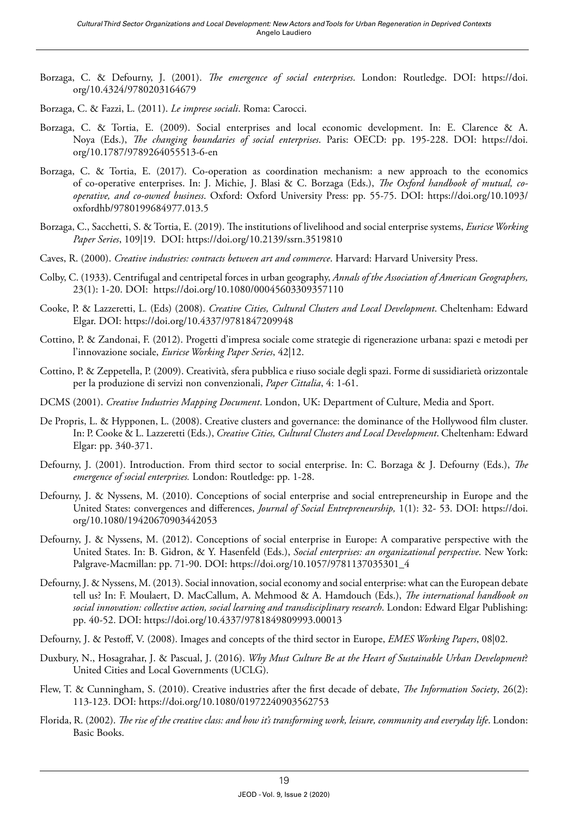- Borzaga, C. & Defourny, J. (2001). *The emergence of social enterprises*. London: Routledge. DOI: [https://doi.](https://doi.org/10.4324/9780203164679) [org/10.4324/9780203164679](https://doi.org/10.4324/9780203164679)
- Borzaga, C. & Fazzi, L. (2011). *Le imprese sociali*. Roma: Carocci.
- Borzaga, C. & Tortia, E. (2009). Social enterprises and local economic development. In: E. Clarence & A. Noya (Eds.), *The changing boundaries of social enterprises*. Paris: OECD: pp. 195-228. DOI: [https://doi.](https://doi.org/10.1787/9789264055513-6-en) [org/10.1787/9789264055513-6-en](https://doi.org/10.1787/9789264055513-6-en)
- Borzaga, C. & Tortia, E. (2017). Co-operation as coordination mechanism: a new approach to the economics of co-operative enterprises. In: J. Michie, J. Blasi & C. Borzaga (Eds.), *The Oxford handbook of mutual, cooperative, and co-owned business*. Oxford: Oxford University Press: pp. 55-75. DOI: [https://doi.org/10.1093/](https://doi.org/10.1093/oxfordhb/9780199684977.013.5) [oxfordhb/9780199684977.013.5](https://doi.org/10.1093/oxfordhb/9780199684977.013.5)
- Borzaga, C., Sacchetti, S. & Tortia, E. (2019). The institutions of livelihood and social enterprise systems, *Euricse Working Paper Series*, 109|19. DOI:<https://doi.org/10.2139/ssrn.3519810>
- Caves, R. (2000). *Creative industries: contracts between art and commerce*. Harvard: Harvard University Press.
- Colby, C. (1933). Centrifugal and centripetal forces in urban geography, *Annals of the Association of American Geographers,* 23(1): 1-20. DOI: <https://doi.org/10.1080/00045603309357110>
- Cooke, P. & Lazzeretti, L. (Eds) (2008). *Creative Cities, Cultural Clusters and Local Development*. Cheltenham: Edward Elgar. DOI:<https://doi.org/10.4337/9781847209948>
- Cottino, P. & Zandonai, F. (2012). Progetti d'impresa sociale come strategie di rigenerazione urbana: spazi e metodi per l'innovazione sociale, *Euricse Working Paper Series*, 42|12.
- Cottino, P. & Zeppetella, P. (2009). Creatività, sfera pubblica e riuso sociale degli spazi. Forme di sussidiarietà orizzontale per la produzione di servizi non convenzionali, *Paper Cittalia*, 4: 1-61.
- DCMS (2001). *Creative Industries Mapping Document*. London, UK: Department of Culture, Media and Sport.
- De Propris, L. & Hypponen, L. (2008). Creative clusters and governance: the dominance of the Hollywood film cluster. In: P. Cooke & L. Lazzeretti (Eds.), *Creative Cities, Cultural Clusters and Local Development*. Cheltenham: Edward Elgar: pp. 340-371.
- Defourny, J. (2001). Introduction. From third sector to social enterprise. In: C. Borzaga & J. Defourny (Eds.), *The emergence of social enterprises.* London: Routledge: pp. 1-28.
- Defourny, J. & Nyssens, M. (2010). Conceptions of social enterprise and social entrepreneurship in Europe and the United States: convergences and differences, *Journal of Social Entrepreneurship,* 1(1): 32- 53. DOI: [https://doi.](https://doi.org/10.1080/19420670903442053) [org/10.1080/19420670903442053](https://doi.org/10.1080/19420670903442053)
- Defourny, J. & Nyssens, M. (2012). Conceptions of social enterprise in Europe: A comparative perspective with the United States. In: B. Gidron, & Y. Hasenfeld (Eds.), *Social enterprises: an organizational perspective*. New York: Palgrave-Macmillan: pp. 71-90. DOI: [https://doi.org/10.1057/9781137035301\\_4](https://doi.org/10.1057/9781137035301_4)
- Defourny, J. & Nyssens, M. (2013). Social innovation, social economy and social enterprise: what can the European debate tell us? In: F. Moulaert, D. MacCallum, A. Mehmood & A. Hamdouch (Eds.), *The international handbook on social innovation: collective action, social learning and transdisciplinary research*. London: Edward Elgar Publishing: pp. 40-52. DOI: <https://doi.org/10.4337/9781849809993.00013>
- Defourny, J. & Pestoff, V. (2008). Images and concepts of the third sector in Europe, *EMES Working Papers*, 08|02.
- Duxbury, N., Hosagrahar, J. & Pascual, J. (2016). *Why Must Culture Be at the Heart of Sustainable Urban Development*? United Cities and Local Governments (UCLG).
- Flew, T. & Cunningham, S. (2010). Creative industries after the first decade of debate, *The Information Society*, 26(2): 113‐123. DOI:<https://doi.org/10.1080/01972240903562753>
- Florida, R. (2002). *The rise of the creative class: and how it's transforming work, leisure, community and everyday life*. London: Basic Books.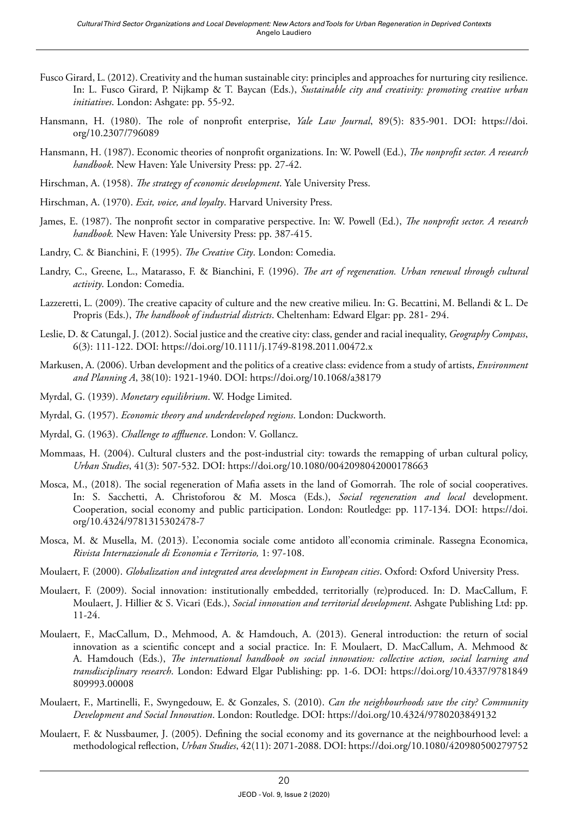- Fusco Girard, L. (2012). Creativity and the human sustainable city: principles and approaches for nurturing city resilience. In: L. Fusco Girard, P. Nijkamp & T. Baycan (Eds.), *Sustainable city and creativity: promoting creative urban initiatives*. London: Ashgate: pp. 55-92.
- Hansmann, H. (1980). The role of nonprofit enterprise, *Yale Law Journal*, 89(5): 835-901. DOI: [https://doi.](https://doi.org/10.2307/796089) [org/10.2307/796089](https://doi.org/10.2307/796089)
- Hansmann, H. (1987). Economic theories of nonprofit organizations. In: W. Powell (Ed.), *The nonprofit sector. A research handbook*. New Haven: Yale University Press: pp. 27-42.
- Hirschman, A. (1958). *The strategy of economic development*. Yale University Press.
- Hirschman, A. (1970). *Exit, voice, and loyalty*. Harvard University Press.
- James, E. (1987). The nonprofit sector in comparative perspective. In: W. Powell (Ed.), *The nonprofit sector. A research handbook.* New Haven: Yale University Press: pp. 387-415.
- Landry, C. & Bianchini, F. (1995). *The Creative City*. London: Comedia.
- Landry, C., Greene, L., Matarasso, F. & Bianchini, F. (1996). *The art of regeneration. Urban renewal through cultural activity*. London: Comedia.
- Lazzeretti, L. (2009). The creative capacity of culture and the new creative milieu. In: G. Becattini, M. Bellandi & L. De Propris (Eds.), *The handbook of industrial districts*. Cheltenham: Edward Elgar: pp. 281- 294.
- Leslie, D. & Catungal, J. (2012). Social justice and the creative city: class, gender and racial inequality, *Geography Compass*, 6(3): 111-122. DOI: <https://doi.org/10.1111/j.1749-8198.2011.00472.x>
- Markusen, A. (2006). Urban development and the politics of a creative class: evidence from a study of artists, *Environment and Planning A*, 38(10): 1921-1940. DOI:<https://doi.org/10.1068/a38179>
- Myrdal, G. (1939). *Monetary equilibrium*. W. Hodge Limited.
- Myrdal, G. (1957). *Economic theory and underdeveloped regions*. London: Duckworth.
- Myrdal, G. (1963). *Challenge to affluence*. London: V. Gollancz.
- Mommaas, H. (2004). Cultural clusters and the post-industrial city: towards the remapping of urban cultural policy, *Urban Studies*, 41(3): 507-532. DOI:<https://doi.org/10.1080/0042098042000178663>
- Mosca, M., (2018). The social regeneration of Mafia assets in the land of Gomorrah. The role of social cooperatives. In: S. Sacchetti, A. Christoforou & M. Mosca (Eds.), *Social regeneration and local* development. Cooperation, social economy and public participation. London: Routledge: pp. 117-134. DOI: [https://doi.](https://doi.org/10.4324/9781315302478-7) [org/10.4324/9781315302478-7](https://doi.org/10.4324/9781315302478-7)
- Mosca, M. & Musella, M. (2013). L'economia sociale come antidoto all'economia criminale. Rassegna Economica, *Rivista Internazionale di Economia e Territorio,* 1: 97-108.
- Moulaert, F. (2000). *Globalization and integrated area development in European cities*. Oxford: Oxford University Press.
- Moulaert, F. (2009). Social innovation: institutionally embedded, territorially (re)produced. In: D. MacCallum, F. Moulaert, J. Hillier & S. Vicari (Eds.), *Social innovation and territorial development*. Ashgate Publishing Ltd: pp. 11-24.
- Moulaert, F., MacCallum, D., Mehmood, A. & Hamdouch, A. (2013). General introduction: the return of social innovation as a scientific concept and a social practice. In: F. Moulaert, D. MacCallum, A. Mehmood & A. Hamdouch (Eds.), *The international handbook on social innovation: collective action, social learning and transdisciplinary research*. London: Edward Elgar Publishing: pp. 1-6. DOI: [https://doi.org/10.4337/9781849](https://doi.org/10.4337/9781849809993.00008) [809993.00008](https://doi.org/10.4337/9781849809993.00008)
- Moulaert, F., Martinelli, F., Swyngedouw, E. & Gonzales, S. (2010). *Can the neighbourhoods save the city? Community Development and Social Innovation*. London: Routledge. DOI: <https://doi.org/10.4324/9780203849132>
- Moulaert, F. & Nussbaumer, J. (2005). Defining the social economy and its governance at the neighbourhood level: a methodological reflection, *Urban Studies*, 42(11): 2071-2088. DOI:<https://doi.org/10.1080/420980500279752>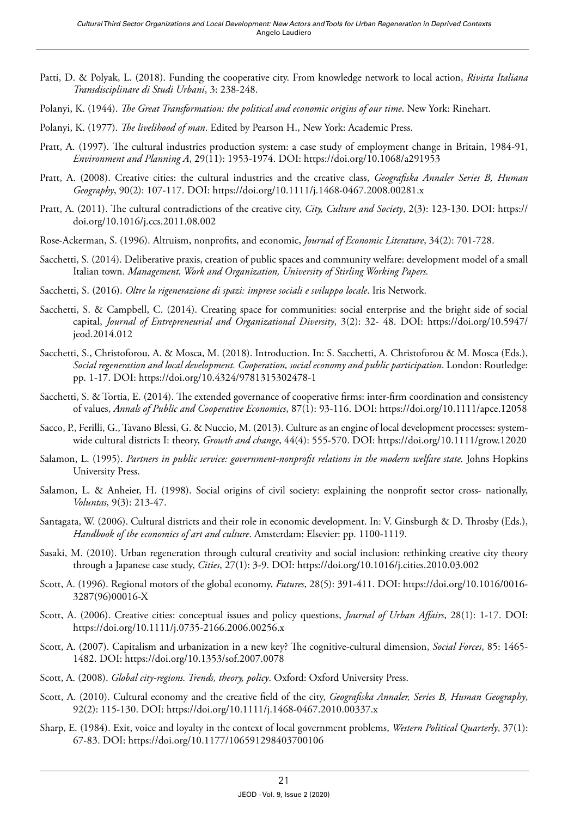- Patti, D. & Polyak, L. (2018). Funding the cooperative city. From knowledge network to local action, *Rivista Italiana Transdisciplinare di Studi Urbani*, 3: 238-248.
- Polanyi, K. (1944). *The Great Transformation: the political and economic origins of our time*. New York: Rinehart.
- Polanyi, K. (1977). *The livelihood of man*. Edited by Pearson H., New York: Academic Press.
- Pratt, A. (1997). The cultural industries production system: a case study of employment change in Britain, 1984-91, *Environment and Planning A*, 29(11): 1953-1974. DOI:<https://doi.org/10.1068/a291953>
- Pratt, A. (2008). Creative cities: the cultural industries and the creative class, *Geografiska Annaler Series B, Human Geography*, 90(2): 107-117. DOI: https://doi.org/10.1111/j.1468-0467.2008.00281.x
- Pratt, A. (2011). The cultural contradictions of the creative city, *City, Culture and Society*, 2(3): 123-130. DOI: [https://](https://doi.org/10.1016/j.ccs.2011.08.002) [doi.org/10.1016/j.ccs.2011.08.002](https://doi.org/10.1016/j.ccs.2011.08.002)
- Rose-Ackerman, S. (1996). Altruism, nonprofits, and economic, *Journal of Economic Literature*, 34(2): 701-728.
- Sacchetti, S. (2014). Deliberative praxis, creation of public spaces and community welfare: development model of a small Italian town. *Management, Work and Organization, University of Stirling Working Papers.*
- Sacchetti, S. (2016). *Oltre la rigenerazione di spazi: imprese sociali e sviluppo locale*. Iris Network.
- Sacchetti, S. & Campbell, C. (2014). Creating space for communities: social enterprise and the bright side of social capital, *Journal of Entrepreneurial and Organizational Diversity*, 3(2): 32- 48. DOI: [https://doi.org/10.5947/](https://doi.org/10.5947/jeod.2014.012) [jeod.2014.012](https://doi.org/10.5947/jeod.2014.012)
- Sacchetti, S., Christoforou, A. & Mosca, M. (2018). Introduction. In: S. Sacchetti, A. Christoforou & M. Mosca (Eds.), *Social regeneration and local development. Cooperation, social economy and public participation*. London: Routledge: pp. 1-17. DOI:<https://doi.org/10.4324/9781315302478-1>
- Sacchetti, S. & Tortia, E. (2014). The extended governance of cooperative firms: inter-firm coordination and consistency of values, *Annals of Public and Cooperative Economics*, 87(1): 93-116. DOI:<https://doi.org/10.1111/apce.12058>
- Sacco, P., Ferilli, G., Tavano Blessi, G. & Nuccio, M. (2013). Culture as an engine of local development processes: systemwide cultural districts I: theory, *Growth and change*, 44(4): 555-570. DOI:<https://doi.org/10.1111/grow.12020>
- Salamon, L. (1995). *Partners in public service: government-nonprofit relations in the modern welfare state*. Johns Hopkins University Press.
- Salamon, L. & Anheier, H. (1998). Social origins of civil society: explaining the nonprofit sector cross- nationally, *Voluntas*, 9(3): 213-47.
- Santagata, W. (2006). Cultural districts and their role in economic development. In: V. Ginsburgh & D. Throsby (Eds.), *Handbook of the economics of art and culture*. Amsterdam: Elsevier: pp. 1100-1119.
- Sasaki, M. (2010). Urban regeneration through cultural creativity and social inclusion: rethinking creative city theory through a Japanese case study, *Cities*, 27(1): 3-9. DOI: <https://doi.org/10.1016/j.cities.2010.03.002>
- Scott, A. (1996). Regional motors of the global economy, *Futures*, 28(5): 391-411. DOI: [https://doi.org/10.1016/0016-](https://doi.org/10.1016/0016-3287(96)00016-X) [3287\(96\)00016-X](https://doi.org/10.1016/0016-3287(96)00016-X)
- Scott, A. (2006). Creative cities: conceptual issues and policy questions, *Journal of Urban Affairs*, 28(1): 1-17. DOI: <https://doi.org/10.1111/j.0735-2166.2006.00256.x>
- Scott, A. (2007). Capitalism and urbanization in a new key? The cognitive-cultural dimension, *Social Forces*, 85: 1465- 1482. DOI: <https://doi.org/10.1353/sof.2007.0078>
- Scott, A. (2008). *Global city-regions. Trends, theory, policy*. Oxford: Oxford University Press.
- Scott, A. (2010). Cultural economy and the creative field of the city, *Geografiska Annaler, Series B, Human Geography*, 92(2): 115-130. DOI:<https://doi.org/10.1111/j.1468-0467.2010.00337.x>
- Sharp, E. (1984). Exit, voice and loyalty in the context of local government problems, *Western Political Quarterly*, 37(1): 67-83. DOI:<https://doi.org/10.1177/106591298403700106>